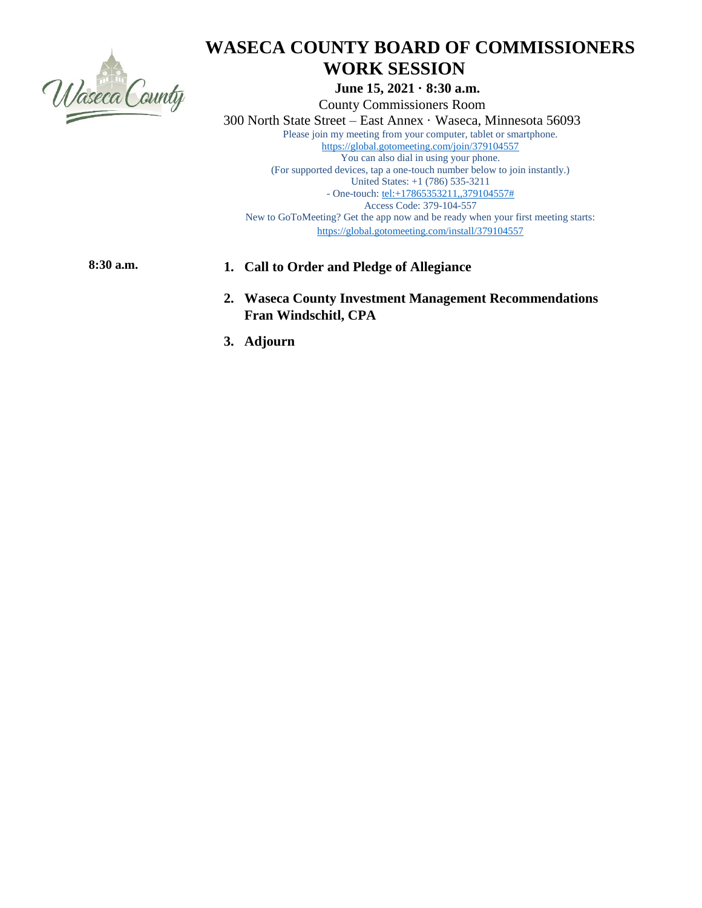

# **WASECA COUNTY BOARD OF COMMISSIONERS WORK SESSION**

 **June 15, 2021 · 8:30 a.m.**

 County Commissioners Room 300 North State Street – East Annex · Waseca, Minnesota 56093 Please join my meeting from your computer, tablet or smartphone. <https://global.gotomeeting.com/join/379104557> You can also dial in using your phone. (For supported devices, tap a one-touch number below to join instantly.) United States: +1 (786) 535-3211 - One-touch: [tel:+17865353211,,379104557#](tel:+17865353211,,379104557) Access Code: 379-104-557 New to GoToMeeting? Get the app now and be ready when your first meeting starts:

<https://global.gotomeeting.com/install/379104557>

## **8:30 a.m. 1. Call to Order and Pledge of Allegiance**

- **2. Waseca County Investment Management Recommendations Fran Windschitl, CPA**
- **3. Adjourn**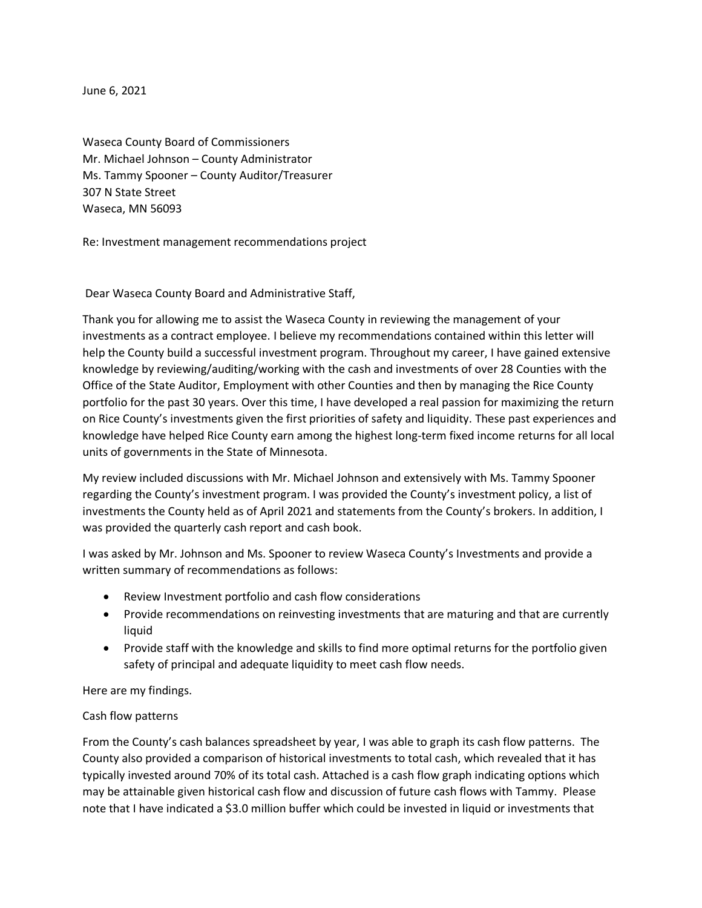June 6, 2021

Waseca County Board of Commissioners Mr. Michael Johnson – County Administrator Ms. Tammy Spooner – County Auditor/Treasurer 307 N State Street Waseca, MN 56093

Re: Investment management recommendations project

Dear Waseca County Board and Administrative Staff,

Thank you for allowing me to assist the Waseca County in reviewing the management of your investments as a contract employee. I believe my recommendations contained within this letter will help the County build a successful investment program. Throughout my career, I have gained extensive knowledge by reviewing/auditing/working with the cash and investments of over 28 Counties with the Office of the State Auditor, Employment with other Counties and then by managing the Rice County portfolio for the past 30 years. Over this time, I have developed a real passion for maximizing the return on Rice County's investments given the first priorities of safety and liquidity. These past experiences and knowledge have helped Rice County earn among the highest long-term fixed income returns for all local units of governments in the State of Minnesota.

My review included discussions with Mr. Michael Johnson and extensively with Ms. Tammy Spooner regarding the County's investment program. I was provided the County's investment policy, a list of investments the County held as of April 2021 and statements from the County's brokers. In addition, I was provided the quarterly cash report and cash book.

I was asked by Mr. Johnson and Ms. Spooner to review Waseca County's Investments and provide a written summary of recommendations as follows:

- Review Investment portfolio and cash flow considerations
- Provide recommendations on reinvesting investments that are maturing and that are currently liquid
- Provide staff with the knowledge and skills to find more optimal returns for the portfolio given safety of principal and adequate liquidity to meet cash flow needs.

Here are my findings.

#### Cash flow patterns

From the County's cash balances spreadsheet by year, I was able to graph its cash flow patterns. The County also provided a comparison of historical investments to total cash, which revealed that it has typically invested around 70% of its total cash. Attached is a cash flow graph indicating options which may be attainable given historical cash flow and discussion of future cash flows with Tammy. Please note that I have indicated a \$3.0 million buffer which could be invested in liquid or investments that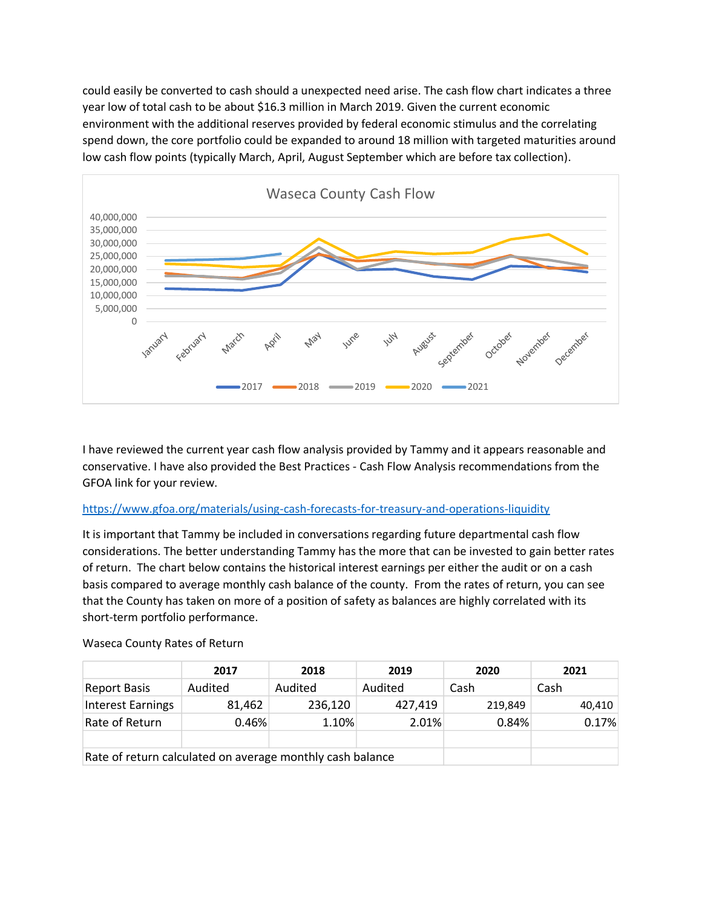could easily be converted to cash should a unexpected need arise. The cash flow chart indicates a three year low of total cash to be about \$16.3 million in March 2019. Given the current economic environment with the additional reserves provided by federal economic stimulus and the correlating spend down, the core portfolio could be expanded to around 18 million with targeted maturities around low cash flow points (typically March, April, August September which are before tax collection).



I have reviewed the current year cash flow analysis provided by Tammy and it appears reasonable and conservative. I have also provided the Best Practices - Cash Flow Analysis recommendations from the GFOA link for your review.

## <https://www.gfoa.org/materials/using-cash-forecasts-for-treasury-and-operations-liquidity>

It is important that Tammy be included in conversations regarding future departmental cash flow considerations. The better understanding Tammy has the more that can be invested to gain better rates of return. The chart below contains the historical interest earnings per either the audit or on a cash basis compared to average monthly cash balance of the county. From the rates of return, you can see that the County has taken on more of a position of safety as balances are highly correlated with its short-term portfolio performance.

|                                                           | 2017    | 2018    | 2019    | 2020    | 2021   |
|-----------------------------------------------------------|---------|---------|---------|---------|--------|
| <b>Report Basis</b>                                       | Audited | Audited | Audited | Cash    | Cash   |
| <b>Interest Earnings</b>                                  | 81,462  | 236,120 | 427,419 | 219,849 | 40,410 |
| Rate of Return                                            | 0.46%   | 1.10%   | 2.01%   | 0.84%   | 0.17%  |
|                                                           |         |         |         |         |        |
| Rate of return calculated on average monthly cash balance |         |         |         |         |        |

#### Waseca County Rates of Return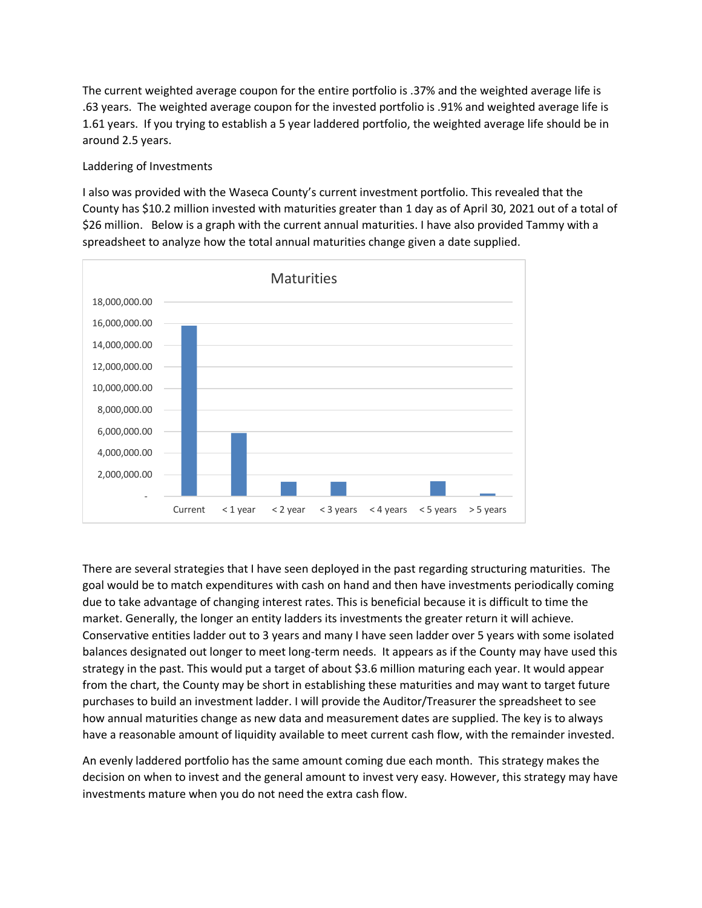The current weighted average coupon for the entire portfolio is .37% and the weighted average life is .63 years. The weighted average coupon for the invested portfolio is .91% and weighted average life is 1.61 years. If you trying to establish a 5 year laddered portfolio, the weighted average life should be in around 2.5 years.

### Laddering of Investments

I also was provided with the Waseca County's current investment portfolio. This revealed that the County has \$10.2 million invested with maturities greater than 1 day as of April 30, 2021 out of a total of \$26 million. Below is a graph with the current annual maturities. I have also provided Tammy with a spreadsheet to analyze how the total annual maturities change given a date supplied.



There are several strategies that I have seen deployed in the past regarding structuring maturities. The goal would be to match expenditures with cash on hand and then have investments periodically coming due to take advantage of changing interest rates. This is beneficial because it is difficult to time the market. Generally, the longer an entity ladders its investments the greater return it will achieve. Conservative entities ladder out to 3 years and many I have seen ladder over 5 years with some isolated balances designated out longer to meet long-term needs. It appears as if the County may have used this strategy in the past. This would put a target of about \$3.6 million maturing each year. It would appear from the chart, the County may be short in establishing these maturities and may want to target future purchases to build an investment ladder. I will provide the Auditor/Treasurer the spreadsheet to see how annual maturities change as new data and measurement dates are supplied. The key is to always have a reasonable amount of liquidity available to meet current cash flow, with the remainder invested.

An evenly laddered portfolio has the same amount coming due each month. This strategy makes the decision on when to invest and the general amount to invest very easy. However, this strategy may have investments mature when you do not need the extra cash flow.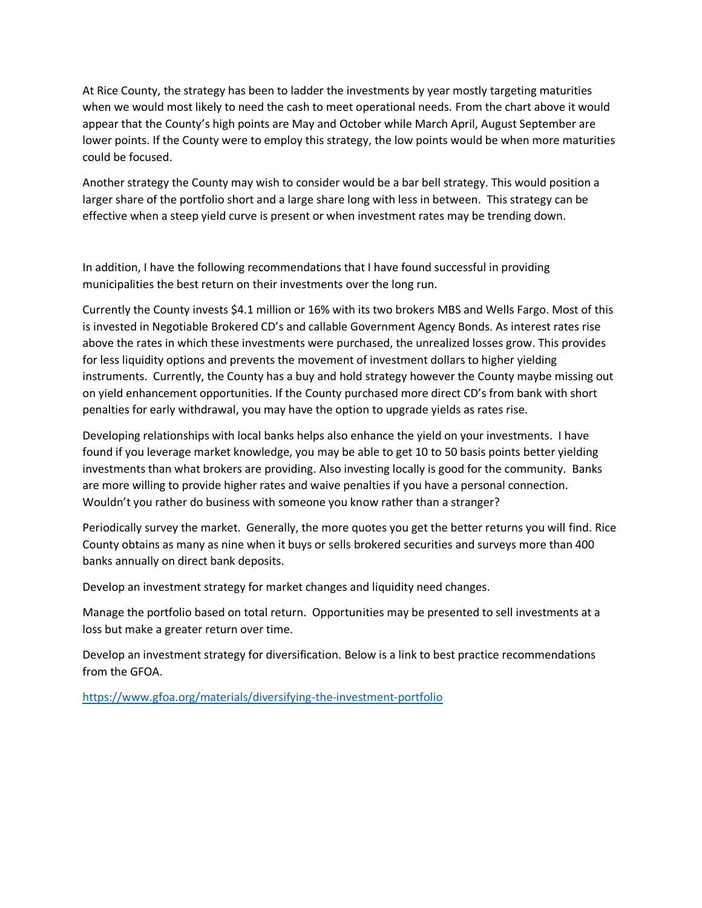At Rice County, the strategy has been to ladder the investments by year mostly targeting maturities when we would most likely to need the cash to meet operational needs. From the chart above it would appear that the County's high points are May and October while March April, August September are lower points. If the County were to employ this strategy, the low points would be when more maturities could be focused.

Another strategy the County may wish to consider would be a bar bell strategy. This would position a larger share of the portfolio short and a large share long with less in between. This strategy can be effective when a steep yield curve is present or when investment rates may be trending down.

In addition, I have the following recommendations that I have found successful in providing municipalities the best return on their investments over the long run.

Currently the County invests \$4.1 million or 16% with its two brokers MBS and Wells Fargo. Most of this is invested in Negotiable Brokered CD's and callable Government Agency Bonds. As interest rates rise above the rates in which these investments were purchased, the unrealized losses grow. This provides for less liquidity options and prevents the movement of investment dollars to higher yielding instruments. Currently, the County has a buy and hold strategy however the County maybe missing out on yield enhancement opportunities. If the County purchased more direct CD's from bank with short penalties for early withdrawal, you may have the option to upgrade yields as rates rise.

Developing relationships with local banks helps also enhance the yield on your investments. I have found if you leverage market knowledge, you may be able to get 10 to 50 basis points better yielding investments than what brokers are providing. Also investing locally is good for the community. Banks are more willing to provide higher rates and waive penalties if you have a personal connection. Wouldn't you rather do business with someone you know rather than a stranger?

Periodically survey the market. Generally, the more quotes you get the better returns you will find. Rice County obtains as many as nine when it buys or sells brokered securities and surveys more than 400 banks annually on direct bank deposits.

Develop an investment strategy for market changes and liquidity need changes.

Manage the portfolio based on total return. Opportunities may be presented to sell investments at a loss but make a greater return over time.

Develop an investment strategy for diversification. Below is a link to best practice recommendations from the GFOA.

<https://www.gfoa.org/materials/diversifying-the-investment-portfolio>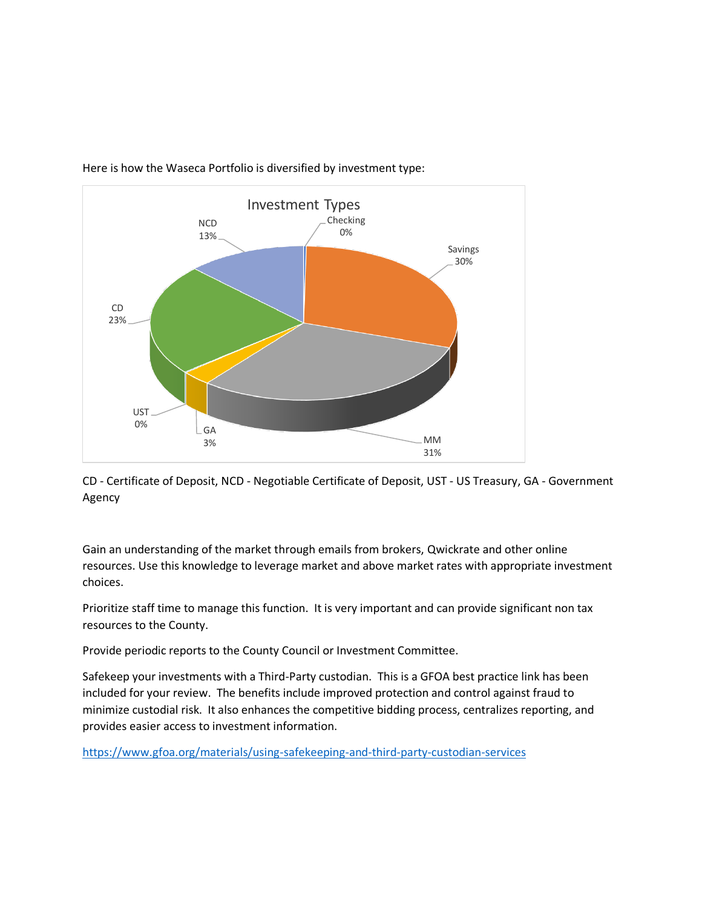

Here is how the Waseca Portfolio is diversified by investment type:

CD - Certificate of Deposit, NCD - Negotiable Certificate of Deposit, UST - US Treasury, GA - Government Agency

Gain an understanding of the market through emails from brokers, Qwickrate and other online resources. Use this knowledge to leverage market and above market rates with appropriate investment choices.

Prioritize staff time to manage this function. It is very important and can provide significant non tax resources to the County.

Provide periodic reports to the County Council or Investment Committee.

Safekeep your investments with a Third-Party custodian. This is a GFOA best practice link has been included for your review. The benefits include improved protection and control against fraud to minimize custodial risk. It also enhances the competitive bidding process, centralizes reporting, and provides easier access to investment information.

<https://www.gfoa.org/materials/using-safekeeping-and-third-party-custodian-services>